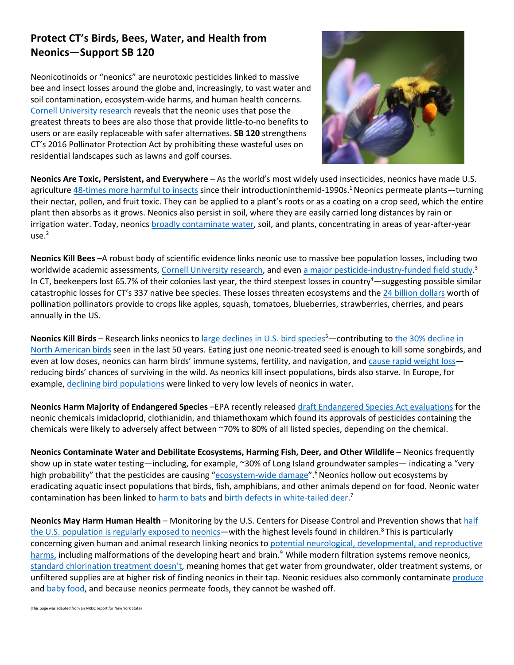## **Protect CT's Birds, Bees, Water, and Health from Neonics—Support SB 120**

Neonicotinoids or "neonics" are neurotoxic pesticides linked to massive bee and insect losses around the globe and, increasingly, to vast water and soil contamination, ecosystem-wide harms, and human health concerns. Cornell University research reveals that the neonic uses that pose the greatest threats to bees are also those that provide little-to-no benefits to users or are easily replaceable with safer alternatives. **SB 120** strengthens CT's 2016 Pollinator Protection Act by prohibiting these wasteful uses on residential landscapes such as lawns and golf courses.



**Neonics Are Toxic, Persistent, and Everywhere** – As the world's most widely used insecticides, neonics have made U.S. agriculture 48-times more harmful to insects since their introductioninthemid-1990s.<sup>1</sup> Neonics permeate plants—turning their nectar, pollen, and fruit toxic. They can be applied to a plant's roots or as a coating on a crop seed, which the entire plant then absorbs as it grows. Neonics also persist in soil, where they are easily carried long distances by rain or irrigation water. Today, neonics broadly contaminate water, soil, and plants, concentrating in areas of year-after-year  $use.<sup>2</sup>$ 

**Neonics Kill Bees** –A robust body of scientific evidence links neonic use to massive bee population losses, including two worldwide academic assessments, Cornell University research, and even a major pesticide-industry-funded field study.<sup>3</sup> In CT, beekeepers lost 65.7% of their colonies last year, the third steepest losses in country<sup>4</sup>—suggesting possible similar catastrophic losses for CT's 337 native bee species. These losses threaten ecosystems and the 24 billion dollars worth of pollination pollinators provide to crops like apples, squash, tomatoes, blueberries, strawberries, cherries, and pears annually in the US.

Neonics Kill Birds – Research links neonics to large declines in U.S. bird species<sup>5</sup>—contributing to the 30% decline in North American birds seen in the last 50 years. Eating just one neonic-treated seed is enough to kill some songbirds, and even at low doses, neonics can harm birds' immune systems, fertility, and navigation, and cause rapid weight loss reducing birds' chances of surviving in the wild. As neonics kill insect populations, birds also starve. In Europe, for example, declining bird populations were linked to very low levels of neonics in water.

**Neonics Harm Majority of Endangered Species** –EPA recently released draft Endangered Species Act evaluations for the neonic chemicals imidacloprid, clothianidin, and thiamethoxam which found its approvals of pesticides containing the chemicals were likely to adversely affect between ~70% to 80% of all listed species, depending on the chemical.

**Neonics Contaminate Water and Debilitate Ecosystems, Harming Fish, Deer, and Other Wildlife - Neonics frequently** show up in state water testing—including, for example, ~30% of Long Island groundwater samples— indicating a "very high probability" that the pesticides are causing "ecosystem-wide damage".<sup>6</sup> Neonics hollow out ecosystems by eradicating aquatic insect populations that birds, fish, amphibians, and other animals depend on for food. Neonic water contamination has been linked to harm to bats and birth defects in white-tailed deer.<sup>7</sup>

**Neonics May Harm Human Health** – Monitoring by the U.S. Centers for Disease Control and Prevention shows that half the U.S. population is regularly exposed to neonics—with the highest levels found in children.<sup>8</sup> This is particularly concerning given human and animal research linking neonics to potential neurological, developmental, and reproductive harms, including malformations of the developing heart and brain.<sup>9</sup> While modern filtration systems remove neonics, standard chlorination treatment doesn't, meaning homes that get water from groundwater, older treatment systems, or unfiltered supplies are at higher risk of finding neonics in their tap. Neonic residues also commonly contaminate produce and baby food, and because neonics permeate foods, they cannot be washed off.